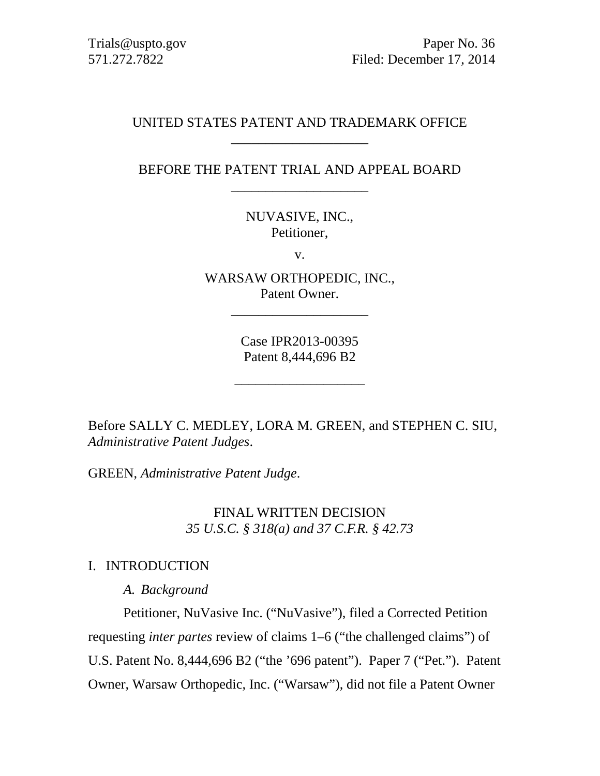Trials@uspto.gov Paper No. 36 571.272.7822 Filed: December 17, 2014

#### UNITED STATES PATENT AND TRADEMARK OFFICE \_\_\_\_\_\_\_\_\_\_\_\_\_\_\_\_\_\_\_\_

## BEFORE THE PATENT TRIAL AND APPEAL BOARD \_\_\_\_\_\_\_\_\_\_\_\_\_\_\_\_\_\_\_\_

NUVASIVE, INC., Petitioner,

v.

WARSAW ORTHOPEDIC, INC., Patent Owner.

\_\_\_\_\_\_\_\_\_\_\_\_\_\_\_\_\_\_\_\_

Case IPR2013-00395 Patent 8,444,696 B2

\_\_\_\_\_\_\_\_\_\_\_\_\_\_\_\_\_\_\_

Before SALLY C. MEDLEY, LORA M. GREEN, and STEPHEN C. SIU, *Administrative Patent Judges*.

GREEN, *Administrative Patent Judge*.

FINAL WRITTEN DECISION *35 U.S.C. § 318(a) and 37 C.F.R. § 42.73* 

#### I. INTRODUCTION

*A. Background* 

Petitioner, NuVasive Inc. ("NuVasive"), filed a Corrected Petition requesting *inter partes* review of claims 1–6 ("the challenged claims") of U.S. Patent No. 8,444,696 B2 ("the '696 patent"). Paper 7 ("Pet."). Patent Owner, Warsaw Orthopedic, Inc. ("Warsaw"), did not file a Patent Owner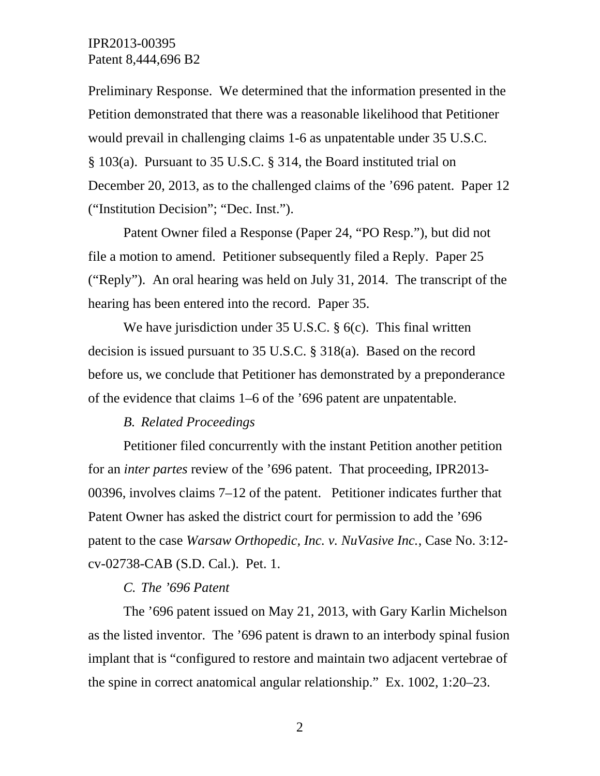Preliminary Response. We determined that the information presented in the Petition demonstrated that there was a reasonable likelihood that Petitioner would prevail in challenging claims 1-6 as unpatentable under 35 U.S.C. § 103(a). Pursuant to 35 U.S.C. § 314, the Board instituted trial on December 20, 2013, as to the challenged claims of the '696 patent. Paper 12 ("Institution Decision"; "Dec. Inst.").

Patent Owner filed a Response (Paper 24, "PO Resp."), but did not file a motion to amend. Petitioner subsequently filed a Reply. Paper 25 ("Reply"). An oral hearing was held on July 31, 2014. The transcript of the hearing has been entered into the record. Paper 35.

We have jurisdiction under 35 U.S.C. § 6(c). This final written decision is issued pursuant to 35 U.S.C. § 318(a). Based on the record before us, we conclude that Petitioner has demonstrated by a preponderance of the evidence that claims 1–6 of the '696 patent are unpatentable.

# *B. Related Proceedings*

Petitioner filed concurrently with the instant Petition another petition for an *inter partes* review of the '696 patent. That proceeding, IPR2013- 00396, involves claims 7–12 of the patent. Petitioner indicates further that Patent Owner has asked the district court for permission to add the '696 patent to the case *Warsaw Orthopedic, Inc. v. NuVasive Inc.*, Case No. 3:12 cv-02738-CAB (S.D. Cal.). Pet. 1.

#### *C. The '696 Patent*

The '696 patent issued on May 21, 2013, with Gary Karlin Michelson as the listed inventor. The '696 patent is drawn to an interbody spinal fusion implant that is "configured to restore and maintain two adjacent vertebrae of the spine in correct anatomical angular relationship." Ex. 1002, 1:20–23.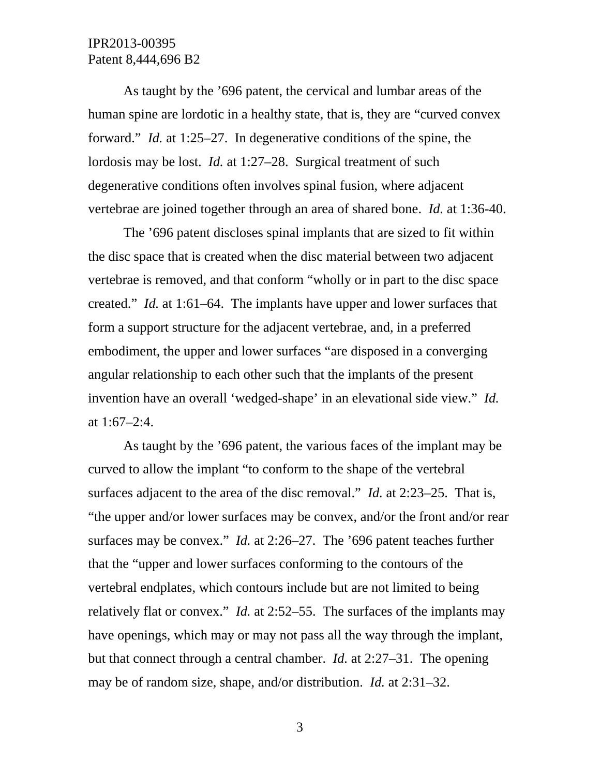As taught by the '696 patent, the cervical and lumbar areas of the human spine are lordotic in a healthy state, that is, they are "curved convex forward." *Id.* at 1:25–27. In degenerative conditions of the spine, the lordosis may be lost. *Id.* at 1:27–28. Surgical treatment of such degenerative conditions often involves spinal fusion, where adjacent vertebrae are joined together through an area of shared bone. *Id.* at 1:36-40.

The '696 patent discloses spinal implants that are sized to fit within the disc space that is created when the disc material between two adjacent vertebrae is removed, and that conform "wholly or in part to the disc space created." *Id.* at 1:61–64. The implants have upper and lower surfaces that form a support structure for the adjacent vertebrae, and, in a preferred embodiment, the upper and lower surfaces "are disposed in a converging angular relationship to each other such that the implants of the present invention have an overall 'wedged-shape' in an elevational side view." *Id.* at 1:67–2:4.

As taught by the '696 patent, the various faces of the implant may be curved to allow the implant "to conform to the shape of the vertebral surfaces adjacent to the area of the disc removal." *Id.* at 2:23–25. That is, "the upper and/or lower surfaces may be convex, and/or the front and/or rear surfaces may be convex." *Id.* at 2:26–27. The '696 patent teaches further that the "upper and lower surfaces conforming to the contours of the vertebral endplates, which contours include but are not limited to being relatively flat or convex." *Id.* at 2:52–55. The surfaces of the implants may have openings, which may or may not pass all the way through the implant, but that connect through a central chamber. *Id.* at 2:27–31. The opening may be of random size, shape, and/or distribution. *Id.* at 2:31–32.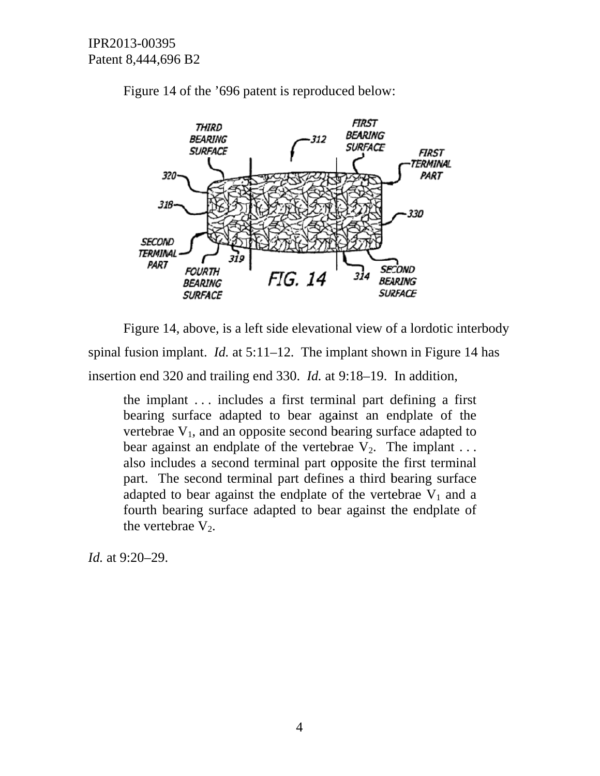

Figure 14 of the '696 patent is reproduced below:

spinal fusion implant. *Id.* at  $5:11-12$ . The implant shown in Figure 14 has insertion end 320 and trailing end 330. *Id.* at 9:18–19. In addition, Figure 14, above, is a left side elevational view of a lordotic interbody

the implant ... includes a first terminal part defining a first bearing surface adapted to bear against an endplate of the vertebrae  $V_1$ , and an opposite second bearing surface adapted to bear against an endplate of the vertebrae  $V_2$ . The implant ... also includes a second terminal part opposite the first terminal part. The second terminal part defines a third bearing surface adapted to bear against the endplate of the vertebrae  $V_1$  and a fourth bearing surface adapted to bear against the endplate of the vertebrae  $V_2$ .

Id. at 9:20–29.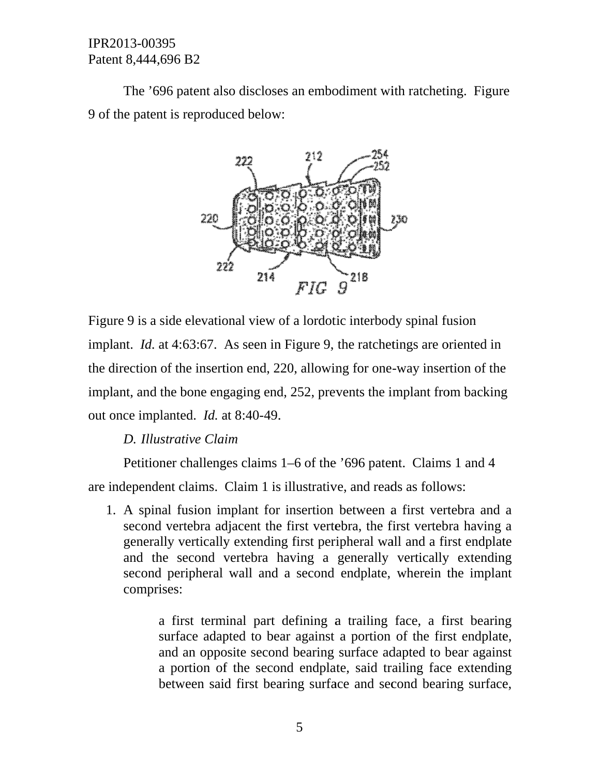9 of the patent is reproduced below: The '696 patent also discloses an embodiment with ratcheting. Figure



Figure 9 is a side elevational view of a lordotic interbody spinal fusion implant. *Id.* at 4:63:67. As seen in Figure 9, the ratchetings are oriented in the direction of the insertion end, 220, allowing for one-way insertion of the implant, and the bone engaging end, 252, prevents the implant from backing out once implanted. *Id.* at 8:40-49. e<br>g<br>a

#### D. Illustrative Claim

ce implanted. *Id.* at 8:40-49.<br>D. Illustrative Claim<br>Petitioner challenges claims 1–6 of the '696 patent. Claims 1 and 4

are independent claims. Claim 1 is illustrative, and reads as follows:

1. A spinal fusion implant for insertion between a first vertebra and second vertebra adjacent the first vertebra, the first vertebra having a generally vertically extending first peripheral wall and a first endplate and the second vertebra having a generally vertically extending second peripheral wall and a second endplate, wherein the implant compris es:

> a first terminal part defining a trailing face, a first bearing surface adapted to bear against a portion of the first endplate, and an opposite second bearing surface adapted to bear against a portion of the second endplate, said trailing face extending between said first bearing surface and second bearing surface,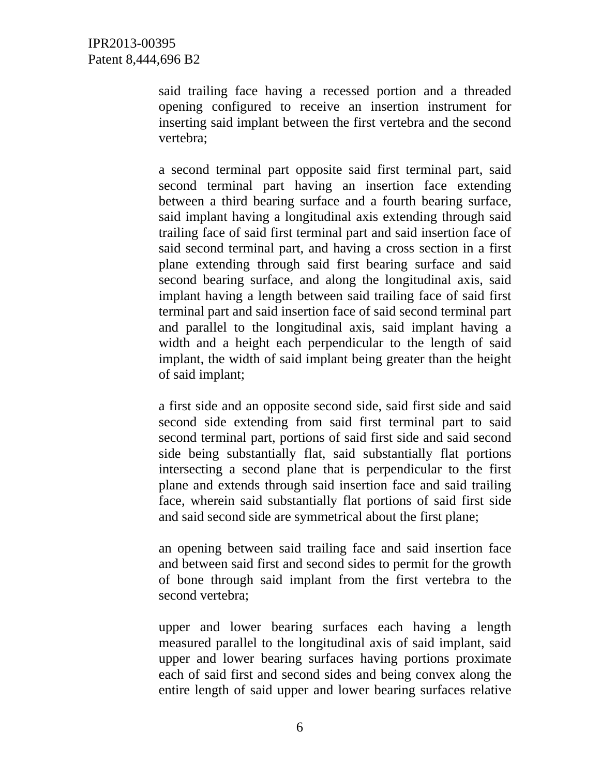said trailing face having a recessed portion and a threaded opening configured to receive an insertion instrument for inserting said implant between the first vertebra and the second vertebra;

a second terminal part opposite said first terminal part, said second terminal part having an insertion face extending between a third bearing surface and a fourth bearing surface, said implant having a longitudinal axis extending through said trailing face of said first terminal part and said insertion face of said second terminal part, and having a cross section in a first plane extending through said first bearing surface and said second bearing surface, and along the longitudinal axis, said implant having a length between said trailing face of said first terminal part and said insertion face of said second terminal part and parallel to the longitudinal axis, said implant having a width and a height each perpendicular to the length of said implant, the width of said implant being greater than the height of said implant;

a first side and an opposite second side, said first side and said second side extending from said first terminal part to said second terminal part, portions of said first side and said second side being substantially flat, said substantially flat portions intersecting a second plane that is perpendicular to the first plane and extends through said insertion face and said trailing face, wherein said substantially flat portions of said first side and said second side are symmetrical about the first plane;

an opening between said trailing face and said insertion face and between said first and second sides to permit for the growth of bone through said implant from the first vertebra to the second vertebra;

upper and lower bearing surfaces each having a length measured parallel to the longitudinal axis of said implant, said upper and lower bearing surfaces having portions proximate each of said first and second sides and being convex along the entire length of said upper and lower bearing surfaces relative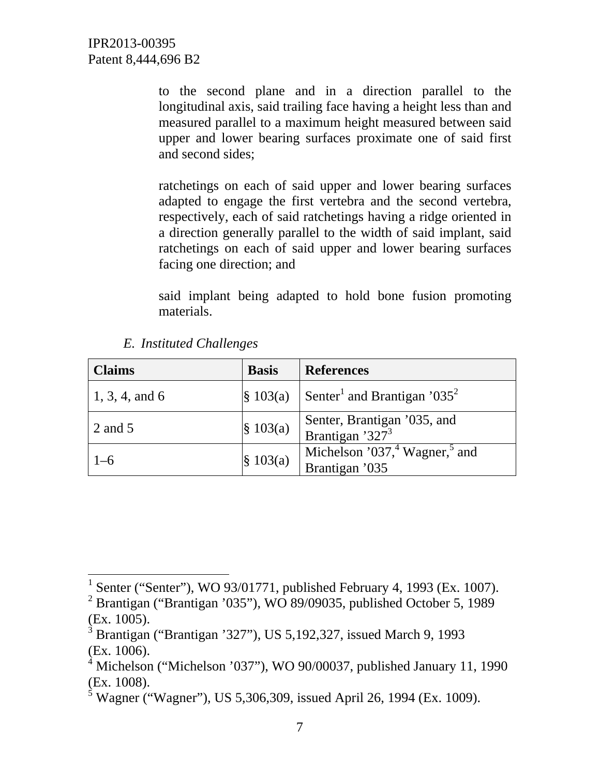to the second plane and in a direction parallel to the longitudinal axis, said trailing face having a height less than and measured parallel to a maximum height measured between said upper and lower bearing surfaces proximate one of said first and second sides;

ratchetings on each of said upper and lower bearing surfaces adapted to engage the first vertebra and the second vertebra, respectively, each of said ratchetings having a ridge oriented in a direction generally parallel to the width of said implant, said ratchetings on each of said upper and lower bearing surfaces facing one direction; and

said implant being adapted to hold bone fusion promoting materials.

| <b>Claims</b>    | <b>Basis</b>         | <b>References</b>                                                       |
|------------------|----------------------|-------------------------------------------------------------------------|
| $1, 3, 4,$ and 6 |                      | $\left  \S$ 103(a) Senter <sup>1</sup> and Brantigan '035 <sup>2</sup>  |
| 2 and 5          | $\S$ 103(a)          | Senter, Brantigan '035, and<br>Brantigan '327 <sup>3</sup>              |
| $1 - 6$          | $\frac{1}{3}$ 103(a) | Michelson '037, <sup>4</sup> Wagner, <sup>5</sup> and<br>Brantigan '035 |

*E. Instituted Challenges* 

 $\overline{a}$ 

<sup>&</sup>lt;sup>1</sup> Senter ("Senter"), WO 93/01771, published February 4, 1993 (Ex. 1007).

<sup>&</sup>lt;sup>2</sup> Brantigan ("Brantigan '035"), WO 89/09035, published October 5, 1989 (Ex. 1005).

 $3$  Brantigan ("Brantigan '327"), US 5,192,327, issued March 9, 1993 (Ex. 1006).

<sup>&</sup>lt;sup>4</sup> Michelson ("Michelson '037"), WO 90/00037, published January 11, 1990 (Ex. 1008).

<sup>&</sup>lt;sup>5</sup> Wagner ("Wagner"), US 5,306,309, issued April 26, 1994 (Ex. 1009).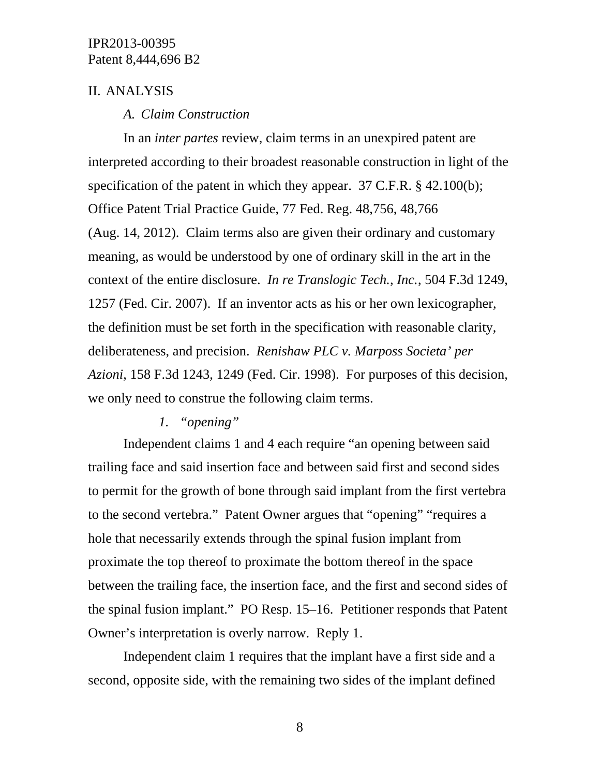## II. ANALYSIS

#### *A. Claim Construction*

In an *inter partes* review, claim terms in an unexpired patent are interpreted according to their broadest reasonable construction in light of the specification of the patent in which they appear. 37 C.F.R. § 42.100(b); Office Patent Trial Practice Guide, 77 Fed. Reg. 48,756, 48,766 (Aug. 14, 2012). Claim terms also are given their ordinary and customary meaning, as would be understood by one of ordinary skill in the art in the context of the entire disclosure. *In re Translogic Tech., Inc.*, 504 F.3d 1249, 1257 (Fed. Cir. 2007). If an inventor acts as his or her own lexicographer, the definition must be set forth in the specification with reasonable clarity, deliberateness, and precision. *Renishaw PLC v. Marposs Societa' per Azioni*, 158 F.3d 1243, 1249 (Fed. Cir. 1998). For purposes of this decision, we only need to construe the following claim terms.

# *1. "opening"*

Independent claims 1 and 4 each require "an opening between said trailing face and said insertion face and between said first and second sides to permit for the growth of bone through said implant from the first vertebra to the second vertebra." Patent Owner argues that "opening" "requires a hole that necessarily extends through the spinal fusion implant from proximate the top thereof to proximate the bottom thereof in the space between the trailing face, the insertion face, and the first and second sides of the spinal fusion implant." PO Resp. 15–16. Petitioner responds that Patent Owner's interpretation is overly narrow. Reply 1.

Independent claim 1 requires that the implant have a first side and a second, opposite side, with the remaining two sides of the implant defined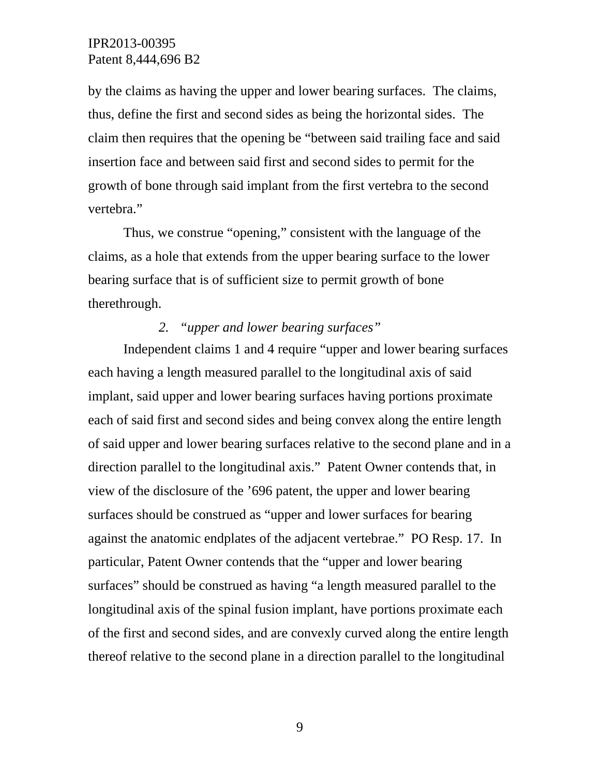by the claims as having the upper and lower bearing surfaces. The claims, thus, define the first and second sides as being the horizontal sides. The claim then requires that the opening be "between said trailing face and said insertion face and between said first and second sides to permit for the growth of bone through said implant from the first vertebra to the second vertebra."

Thus, we construe "opening," consistent with the language of the claims, as a hole that extends from the upper bearing surface to the lower bearing surface that is of sufficient size to permit growth of bone therethrough.

#### *2. "upper and lower bearing surfaces"*

 Independent claims 1 and 4 require "upper and lower bearing surfaces each having a length measured parallel to the longitudinal axis of said implant, said upper and lower bearing surfaces having portions proximate each of said first and second sides and being convex along the entire length of said upper and lower bearing surfaces relative to the second plane and in a direction parallel to the longitudinal axis." Patent Owner contends that, in view of the disclosure of the '696 patent, the upper and lower bearing surfaces should be construed as "upper and lower surfaces for bearing against the anatomic endplates of the adjacent vertebrae." PO Resp. 17. In particular, Patent Owner contends that the "upper and lower bearing surfaces" should be construed as having "a length measured parallel to the longitudinal axis of the spinal fusion implant, have portions proximate each of the first and second sides, and are convexly curved along the entire length thereof relative to the second plane in a direction parallel to the longitudinal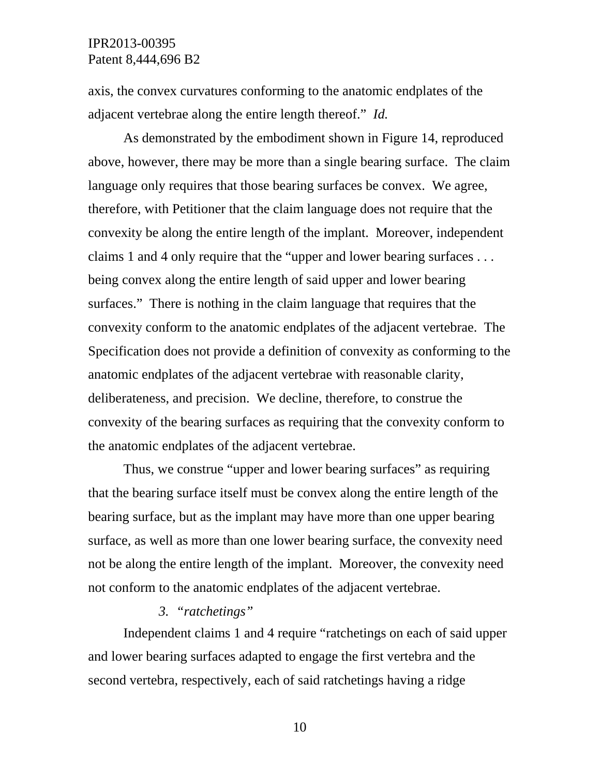axis, the convex curvatures conforming to the anatomic endplates of the adjacent vertebrae along the entire length thereof." *Id.*

As demonstrated by the embodiment shown in Figure 14, reproduced above, however, there may be more than a single bearing surface. The claim language only requires that those bearing surfaces be convex. We agree, therefore, with Petitioner that the claim language does not require that the convexity be along the entire length of the implant. Moreover, independent claims 1 and 4 only require that the "upper and lower bearing surfaces . . . being convex along the entire length of said upper and lower bearing surfaces." There is nothing in the claim language that requires that the convexity conform to the anatomic endplates of the adjacent vertebrae. The Specification does not provide a definition of convexity as conforming to the anatomic endplates of the adjacent vertebrae with reasonable clarity, deliberateness, and precision. We decline, therefore, to construe the convexity of the bearing surfaces as requiring that the convexity conform to the anatomic endplates of the adjacent vertebrae.

Thus, we construe "upper and lower bearing surfaces" as requiring that the bearing surface itself must be convex along the entire length of the bearing surface, but as the implant may have more than one upper bearing surface, as well as more than one lower bearing surface, the convexity need not be along the entire length of the implant. Moreover, the convexity need not conform to the anatomic endplates of the adjacent vertebrae.

#### *3. "ratchetings"*

Independent claims 1 and 4 require "ratchetings on each of said upper and lower bearing surfaces adapted to engage the first vertebra and the second vertebra, respectively, each of said ratchetings having a ridge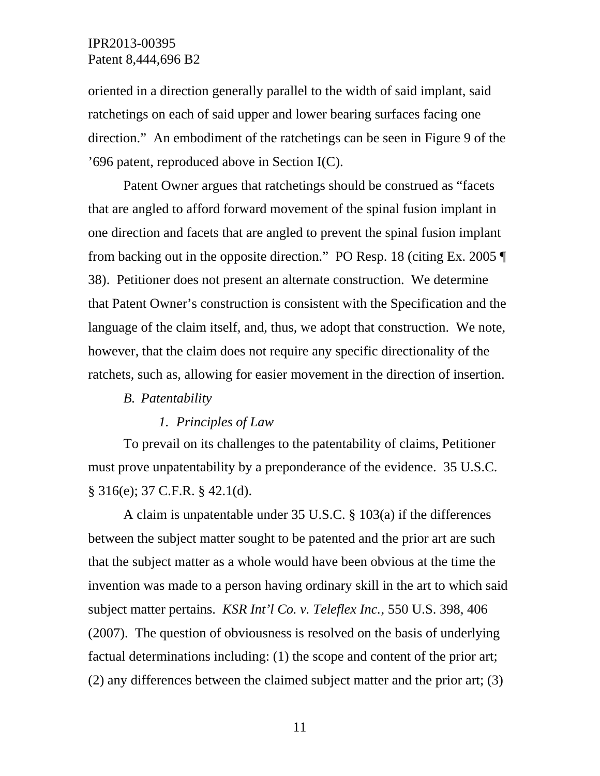oriented in a direction generally parallel to the width of said implant, said ratchetings on each of said upper and lower bearing surfaces facing one direction." An embodiment of the ratchetings can be seen in Figure 9 of the '696 patent, reproduced above in Section I(C).

 Patent Owner argues that ratchetings should be construed as "facets that are angled to afford forward movement of the spinal fusion implant in one direction and facets that are angled to prevent the spinal fusion implant from backing out in the opposite direction." PO Resp. 18 (citing Ex. 2005 ¶ 38). Petitioner does not present an alternate construction. We determine that Patent Owner's construction is consistent with the Specification and the language of the claim itself, and, thus, we adopt that construction. We note, however, that the claim does not require any specific directionality of the ratchets, such as, allowing for easier movement in the direction of insertion.

#### *B. Patentability*

#### *1. Principles of Law*

To prevail on its challenges to the patentability of claims, Petitioner must prove unpatentability by a preponderance of the evidence. 35 U.S.C. § 316(e); 37 C.F.R. § 42.1(d).

A claim is unpatentable under 35 U.S.C. § 103(a) if the differences between the subject matter sought to be patented and the prior art are such that the subject matter as a whole would have been obvious at the time the invention was made to a person having ordinary skill in the art to which said subject matter pertains. *KSR Int'l Co. v. Teleflex Inc.*, 550 U.S. 398, 406 (2007). The question of obviousness is resolved on the basis of underlying factual determinations including: (1) the scope and content of the prior art; (2) any differences between the claimed subject matter and the prior art; (3)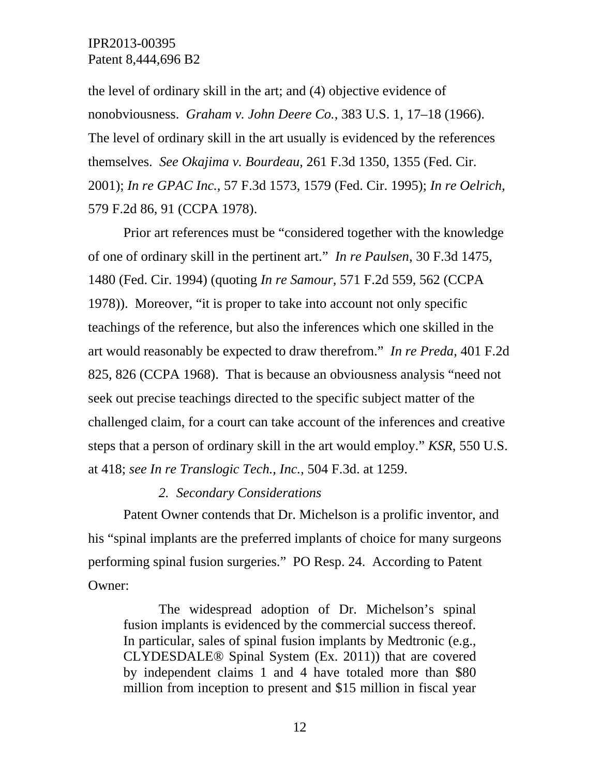the level of ordinary skill in the art; and (4) objective evidence of nonobviousness. *Graham v. John Deere Co.*, 383 U.S. 1, 17–18 (1966). The level of ordinary skill in the art usually is evidenced by the references themselves. *See Okajima v. Bourdeau*, 261 F.3d 1350, 1355 (Fed. Cir. 2001); *In re GPAC Inc.*, 57 F.3d 1573, 1579 (Fed. Cir. 1995); *In re Oelrich*, 579 F.2d 86, 91 (CCPA 1978).

Prior art references must be "considered together with the knowledge of one of ordinary skill in the pertinent art." *In re Paulsen*, 30 F.3d 1475, 1480 (Fed. Cir. 1994) (quoting *In re Samour*, 571 F.2d 559, 562 (CCPA 1978)). Moreover, "it is proper to take into account not only specific teachings of the reference, but also the inferences which one skilled in the art would reasonably be expected to draw therefrom." *In re Preda*, 401 F.2d 825, 826 (CCPA 1968). That is because an obviousness analysis "need not seek out precise teachings directed to the specific subject matter of the challenged claim, for a court can take account of the inferences and creative steps that a person of ordinary skill in the art would employ." *KSR*, 550 U.S. at 418; *see In re Translogic Tech., Inc.*, 504 F.3d. at 1259.

#### *2. Secondary Considerations*

Patent Owner contends that Dr. Michelson is a prolific inventor, and his "spinal implants are the preferred implants of choice for many surgeons performing spinal fusion surgeries." PO Resp. 24. According to Patent Owner:

The widespread adoption of Dr. Michelson's spinal fusion implants is evidenced by the commercial success thereof. In particular, sales of spinal fusion implants by Medtronic (e.g., CLYDESDALE® Spinal System (Ex. 2011)) that are covered by independent claims 1 and 4 have totaled more than \$80 million from inception to present and \$15 million in fiscal year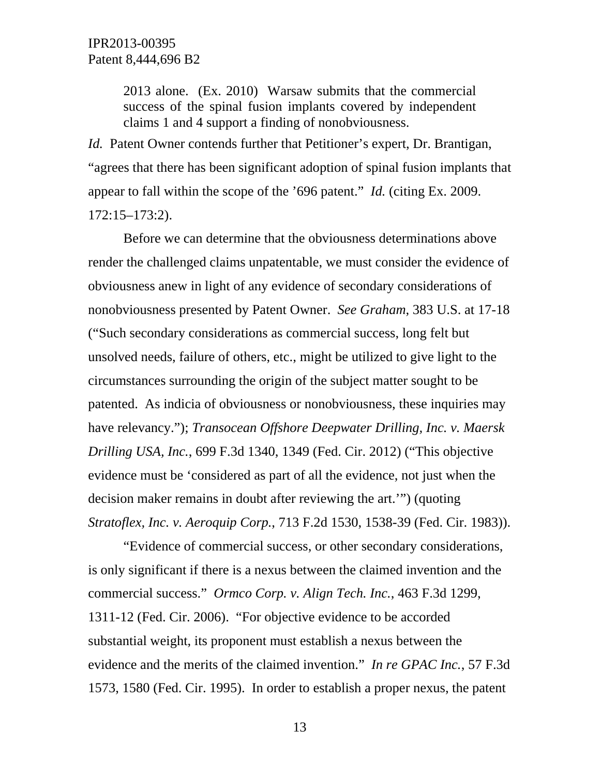2013 alone. (Ex. 2010) Warsaw submits that the commercial success of the spinal fusion implants covered by independent claims 1 and 4 support a finding of nonobviousness.

*Id.* Patent Owner contends further that Petitioner's expert, Dr. Brantigan, "agrees that there has been significant adoption of spinal fusion implants that appear to fall within the scope of the '696 patent." *Id.* (citing Ex. 2009. 172:15–173:2).

Before we can determine that the obviousness determinations above render the challenged claims unpatentable, we must consider the evidence of obviousness anew in light of any evidence of secondary considerations of nonobviousness presented by Patent Owner. *See Graham*, 383 U.S. at 17-18 ("Such secondary considerations as commercial success, long felt but unsolved needs, failure of others, etc., might be utilized to give light to the circumstances surrounding the origin of the subject matter sought to be patented. As indicia of obviousness or nonobviousness, these inquiries may have relevancy."); *Transocean Offshore Deepwater Drilling, Inc. v. Maersk Drilling USA, Inc.*, 699 F.3d 1340, 1349 (Fed. Cir. 2012) ("This objective evidence must be 'considered as part of all the evidence, not just when the decision maker remains in doubt after reviewing the art.'") (quoting *Stratoflex, Inc. v. Aeroquip Corp.*, 713 F.2d 1530, 1538-39 (Fed. Cir. 1983)).

"Evidence of commercial success, or other secondary considerations, is only significant if there is a nexus between the claimed invention and the commercial success." *Ormco Corp. v. Align Tech. Inc.*, 463 F.3d 1299, 1311-12 (Fed. Cir. 2006). "For objective evidence to be accorded substantial weight, its proponent must establish a nexus between the evidence and the merits of the claimed invention." *In re GPAC Inc.*, 57 F.3d 1573, 1580 (Fed. Cir. 1995). In order to establish a proper nexus, the patent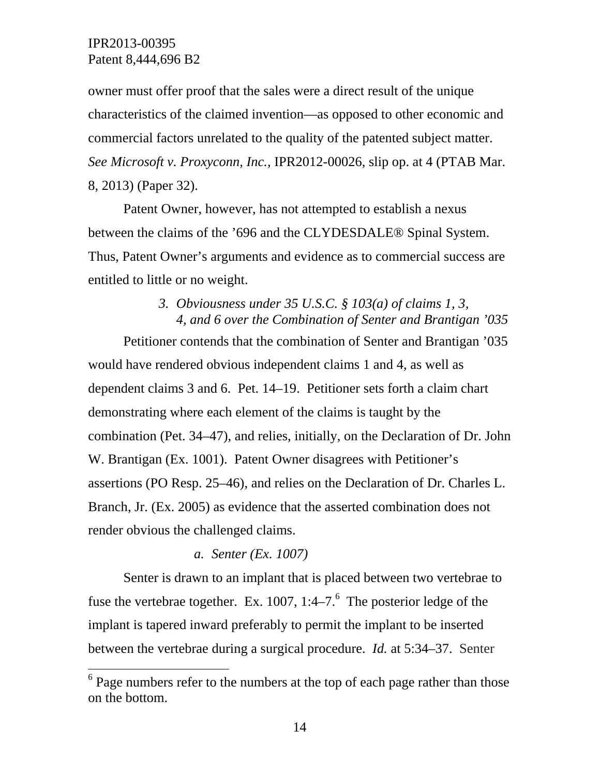$\overline{a}$ 

owner must offer proof that the sales were a direct result of the unique characteristics of the claimed invention—as opposed to other economic and commercial factors unrelated to the quality of the patented subject matter. *See Microsoft v. Proxyconn, Inc.*, IPR2012-00026, slip op. at 4 (PTAB Mar. 8, 2013) (Paper 32).

 Patent Owner, however, has not attempted to establish a nexus between the claims of the '696 and the CLYDESDALE® Spinal System. Thus, Patent Owner's arguments and evidence as to commercial success are entitled to little or no weight.

# *3. Obviousness under 35 U.S.C. § 103(a) of claims 1, 3, 4, and 6 over the Combination of Senter and Brantigan '035*

 Petitioner contends that the combination of Senter and Brantigan '035 would have rendered obvious independent claims 1 and 4, as well as dependent claims 3 and 6. Pet. 14–19. Petitioner sets forth a claim chart demonstrating where each element of the claims is taught by the combination (Pet. 34–47), and relies, initially, on the Declaration of Dr. John W. Brantigan (Ex. 1001). Patent Owner disagrees with Petitioner's assertions (PO Resp. 25–46), and relies on the Declaration of Dr. Charles L. Branch, Jr. (Ex. 2005) as evidence that the asserted combination does not render obvious the challenged claims.

# *a. Senter (Ex. 1007)*

 Senter is drawn to an implant that is placed between two vertebrae to fuse the vertebrae together. Ex. 1007, 1:4–7. $6$  The posterior ledge of the implant is tapered inward preferably to permit the implant to be inserted between the vertebrae during a surgical procedure. *Id.* at 5:34–37. Senter

 $6$  Page numbers refer to the numbers at the top of each page rather than those on the bottom.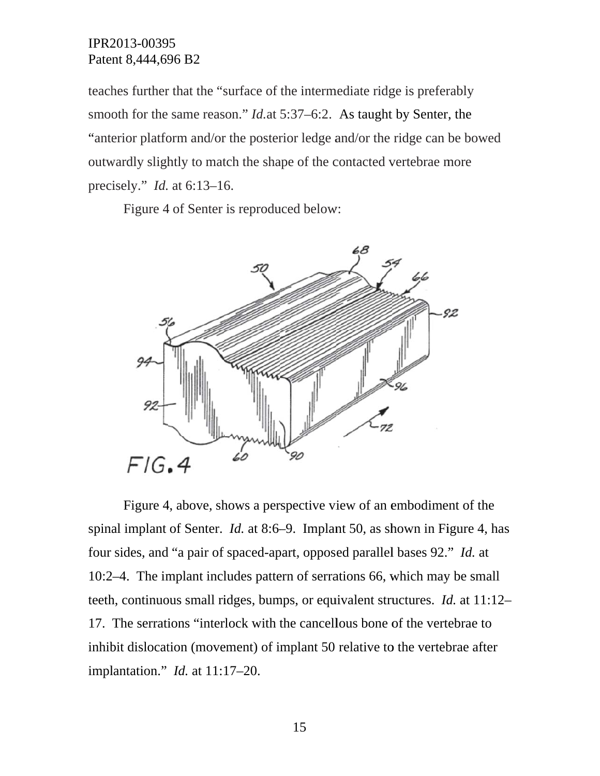teaches further that the "surface of the intermediate ridge is preferably smooth for the same reason." *Id.*at 5:37–6:2. As taught by Senter, the "anterior platform and/or the posterior ledge and/or the ridge can be bowed outwardly slightly to match the shape of the contacted vertebrae more precisely." *Id.* at 6:13–16.

Figure 4 of Senter is reproduced below:



spinal implant of Senter. *Id.* at 8:6–9. Implant 50, as shown in Figure 4, has four sides, and "a pair of spaced-apart, opposed parallel bases 92." *Id.* at 10:2–4. The implant includes pattern of serrations 66, which may be small teeth, continuous small ridges, bumps, or equivalent structures. *Id.* at 11:12– 17. The serrations "interlock with the cancellous bone of the vertebrae to inhibit dislocation (movement) of implant 50 relative to the vertebrae after impl lantation." *Id.* at 11: 17–20. Figure 4, above, shows a perspective view of an embodiment of the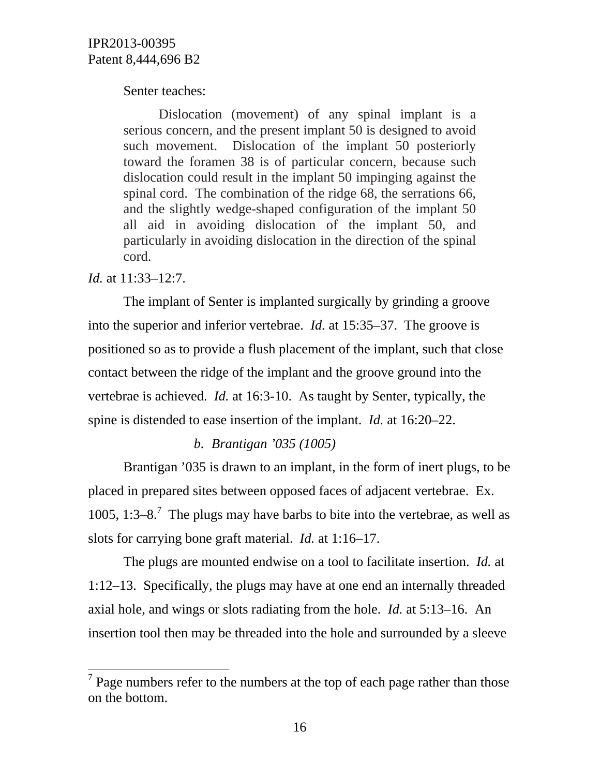## Senter teaches:

Dislocation (movement) of any spinal implant is a serious concern, and the present implant 50 is designed to avoid such movement. Dislocation of the implant 50 posteriorly toward the foramen 38 is of particular concern, because such dislocation could result in the implant 50 impinging against the spinal cord. The combination of the ridge 68, the serrations 66, and the slightly wedge-shaped configuration of the implant 50 all aid in avoiding dislocation of the implant 50, and particularly in avoiding dislocation in the direction of the spinal cord.

# *Id.* at 11:33–12:7.

 $\overline{a}$ 

 The implant of Senter is implanted surgically by grinding a groove into the superior and inferior vertebrae. *Id.* at 15:35–37. The groove is positioned so as to provide a flush placement of the implant, such that close contact between the ridge of the implant and the groove ground into the vertebrae is achieved. *Id.* at 16:3-10. As taught by Senter, typically, the spine is distended to ease insertion of the implant. *Id.* at 16:20–22.

# *b. Brantigan '035 (1005)*

Brantigan '035 is drawn to an implant, in the form of inert plugs, to be placed in prepared sites between opposed faces of adjacent vertebrae. Ex. 1005, 1:3–8.<sup>7</sup> The plugs may have barbs to bite into the vertebrae, as well as slots for carrying bone graft material. *Id.* at 1:16–17.

The plugs are mounted endwise on a tool to facilitate insertion. *Id.* at 1:12–13. Specifically, the plugs may have at one end an internally threaded axial hole, and wings or slots radiating from the hole. *Id.* at 5:13–16. An insertion tool then may be threaded into the hole and surrounded by a sleeve

 $7$  Page numbers refer to the numbers at the top of each page rather than those on the bottom.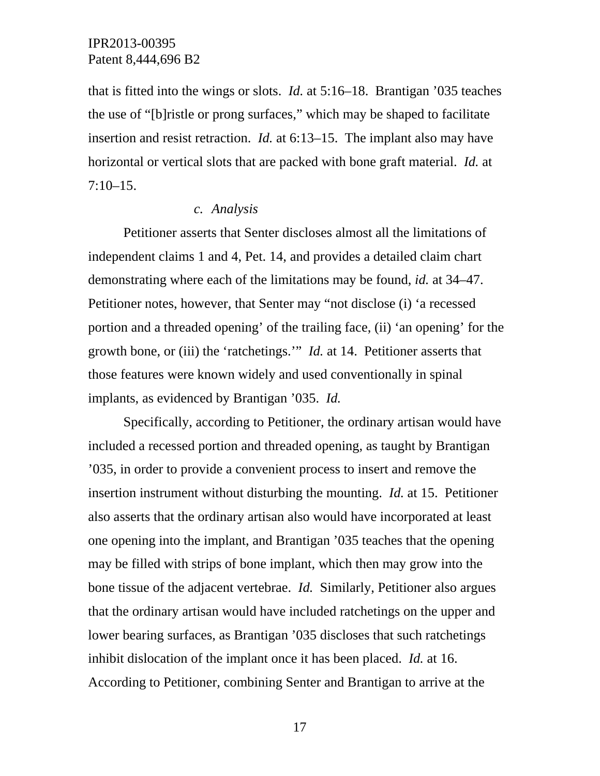that is fitted into the wings or slots. *Id.* at 5:16–18. Brantigan '035 teaches the use of "[b]ristle or prong surfaces," which may be shaped to facilitate insertion and resist retraction. *Id.* at 6:13–15. The implant also may have horizontal or vertical slots that are packed with bone graft material. *Id.* at  $7:10-15.$ 

#### *c. Analysis*

Petitioner asserts that Senter discloses almost all the limitations of independent claims 1 and 4, Pet. 14, and provides a detailed claim chart demonstrating where each of the limitations may be found, *id.* at 34–47. Petitioner notes, however, that Senter may "not disclose (i) 'a recessed portion and a threaded opening' of the trailing face, (ii) 'an opening' for the growth bone, or (iii) the 'ratchetings.'" *Id.* at 14. Petitioner asserts that those features were known widely and used conventionally in spinal implants, as evidenced by Brantigan '035. *Id.*

 Specifically, according to Petitioner, the ordinary artisan would have included a recessed portion and threaded opening, as taught by Brantigan '035, in order to provide a convenient process to insert and remove the insertion instrument without disturbing the mounting. *Id.* at 15. Petitioner also asserts that the ordinary artisan also would have incorporated at least one opening into the implant, and Brantigan '035 teaches that the opening may be filled with strips of bone implant, which then may grow into the bone tissue of the adjacent vertebrae. *Id.* Similarly, Petitioner also argues that the ordinary artisan would have included ratchetings on the upper and lower bearing surfaces, as Brantigan '035 discloses that such ratchetings inhibit dislocation of the implant once it has been placed. *Id.* at 16. According to Petitioner, combining Senter and Brantigan to arrive at the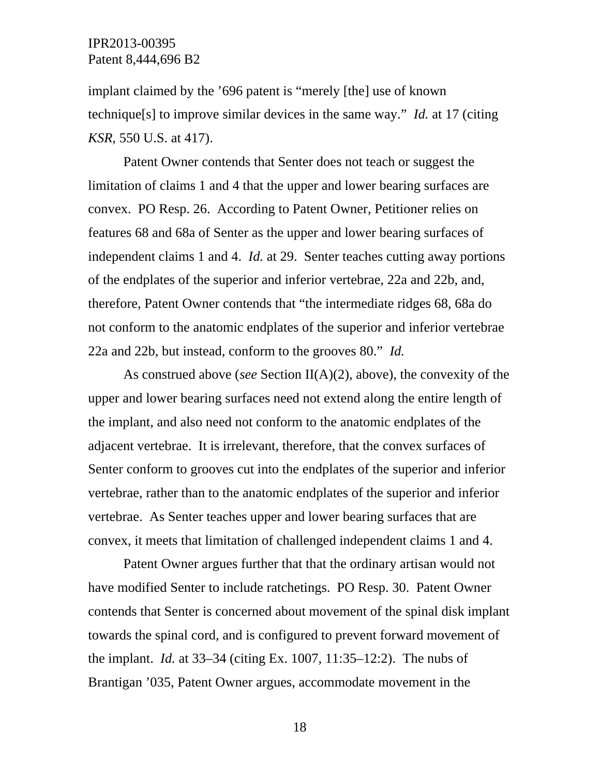implant claimed by the '696 patent is "merely [the] use of known technique[s] to improve similar devices in the same way." *Id.* at 17 (citing *KSR*, 550 U.S. at 417).

 Patent Owner contends that Senter does not teach or suggest the limitation of claims 1 and 4 that the upper and lower bearing surfaces are convex. PO Resp. 26. According to Patent Owner, Petitioner relies on features 68 and 68a of Senter as the upper and lower bearing surfaces of independent claims 1 and 4. *Id.* at 29. Senter teaches cutting away portions of the endplates of the superior and inferior vertebrae, 22a and 22b, and, therefore, Patent Owner contends that "the intermediate ridges 68, 68a do not conform to the anatomic endplates of the superior and inferior vertebrae 22a and 22b, but instead, conform to the grooves 80." *Id.*

 As construed above (*see* Section II(A)(2), above), the convexity of the upper and lower bearing surfaces need not extend along the entire length of the implant, and also need not conform to the anatomic endplates of the adjacent vertebrae. It is irrelevant, therefore, that the convex surfaces of Senter conform to grooves cut into the endplates of the superior and inferior vertebrae, rather than to the anatomic endplates of the superior and inferior vertebrae. As Senter teaches upper and lower bearing surfaces that are convex, it meets that limitation of challenged independent claims 1 and 4.

 Patent Owner argues further that that the ordinary artisan would not have modified Senter to include ratchetings. PO Resp. 30. Patent Owner contends that Senter is concerned about movement of the spinal disk implant towards the spinal cord, and is configured to prevent forward movement of the implant. *Id.* at 33–34 (citing Ex. 1007, 11:35–12:2). The nubs of Brantigan '035, Patent Owner argues, accommodate movement in the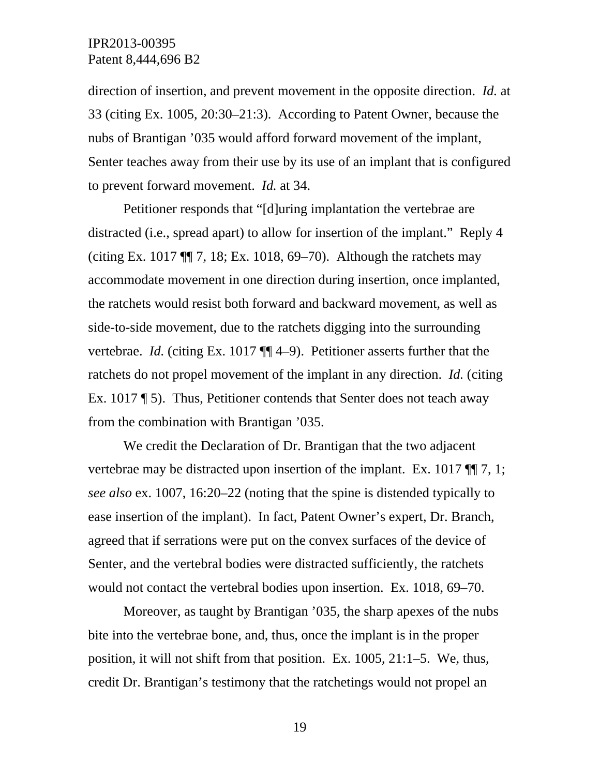direction of insertion, and prevent movement in the opposite direction. *Id.* at 33 (citing Ex. 1005, 20:30–21:3). According to Patent Owner, because the nubs of Brantigan '035 would afford forward movement of the implant, Senter teaches away from their use by its use of an implant that is configured to prevent forward movement. *Id.* at 34.

 Petitioner responds that "[d]uring implantation the vertebrae are distracted (i.e., spread apart) to allow for insertion of the implant." Reply 4 (citing Ex. 1017 ¶¶ 7, 18; Ex. 1018, 69–70). Although the ratchets may accommodate movement in one direction during insertion, once implanted, the ratchets would resist both forward and backward movement, as well as side-to-side movement, due to the ratchets digging into the surrounding vertebrae. *Id.* (citing Ex. 1017 ¶¶ 4–9). Petitioner asserts further that the ratchets do not propel movement of the implant in any direction. *Id.* (citing Ex. 1017 ¶ 5). Thus, Petitioner contends that Senter does not teach away from the combination with Brantigan '035.

 We credit the Declaration of Dr. Brantigan that the two adjacent vertebrae may be distracted upon insertion of the implant. Ex. 1017 ¶¶ 7, 1; *see also* ex. 1007, 16:20–22 (noting that the spine is distended typically to ease insertion of the implant). In fact, Patent Owner's expert, Dr. Branch, agreed that if serrations were put on the convex surfaces of the device of Senter, and the vertebral bodies were distracted sufficiently, the ratchets would not contact the vertebral bodies upon insertion. Ex. 1018, 69–70.

 Moreover, as taught by Brantigan '035, the sharp apexes of the nubs bite into the vertebrae bone, and, thus, once the implant is in the proper position, it will not shift from that position. Ex. 1005, 21:1–5. We, thus, credit Dr. Brantigan's testimony that the ratchetings would not propel an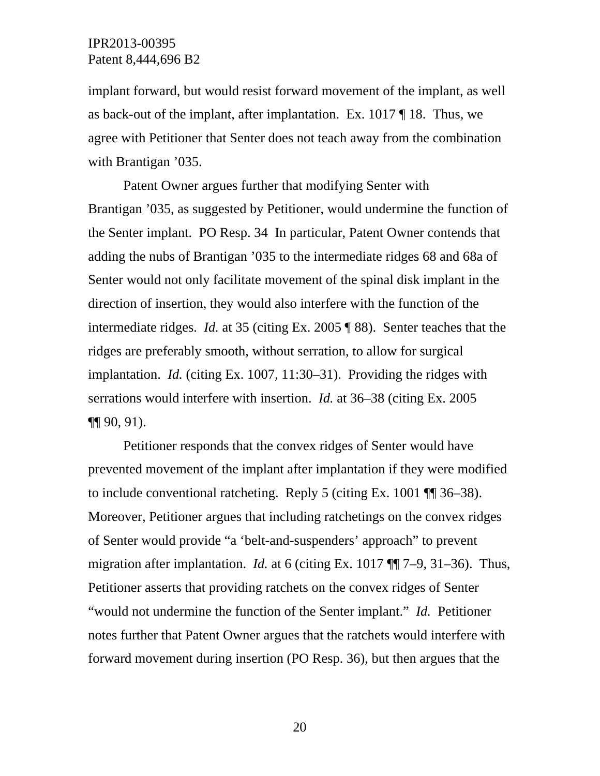implant forward, but would resist forward movement of the implant, as well as back-out of the implant, after implantation. Ex. 1017 ¶ 18. Thus, we agree with Petitioner that Senter does not teach away from the combination with Brantigan '035.

 Patent Owner argues further that modifying Senter with Brantigan '035, as suggested by Petitioner, would undermine the function of the Senter implant. PO Resp. 34 In particular, Patent Owner contends that adding the nubs of Brantigan '035 to the intermediate ridges 68 and 68a of Senter would not only facilitate movement of the spinal disk implant in the direction of insertion, they would also interfere with the function of the intermediate ridges. *Id.* at 35 (citing Ex. 2005 ¶ 88). Senter teaches that the ridges are preferably smooth, without serration, to allow for surgical implantation. *Id.* (citing Ex. 1007, 11:30–31). Providing the ridges with serrations would interfere with insertion. *Id.* at 36–38 (citing Ex. 2005 ¶¶ 90, 91).

 Petitioner responds that the convex ridges of Senter would have prevented movement of the implant after implantation if they were modified to include conventional ratcheting. Reply 5 (citing Ex. 1001 ¶¶ 36–38). Moreover, Petitioner argues that including ratchetings on the convex ridges of Senter would provide "a 'belt-and-suspenders' approach" to prevent migration after implantation. *Id.* at 6 (citing Ex. 1017 ¶¶ 7–9, 31–36). Thus, Petitioner asserts that providing ratchets on the convex ridges of Senter "would not undermine the function of the Senter implant." *Id.* Petitioner notes further that Patent Owner argues that the ratchets would interfere with forward movement during insertion (PO Resp. 36), but then argues that the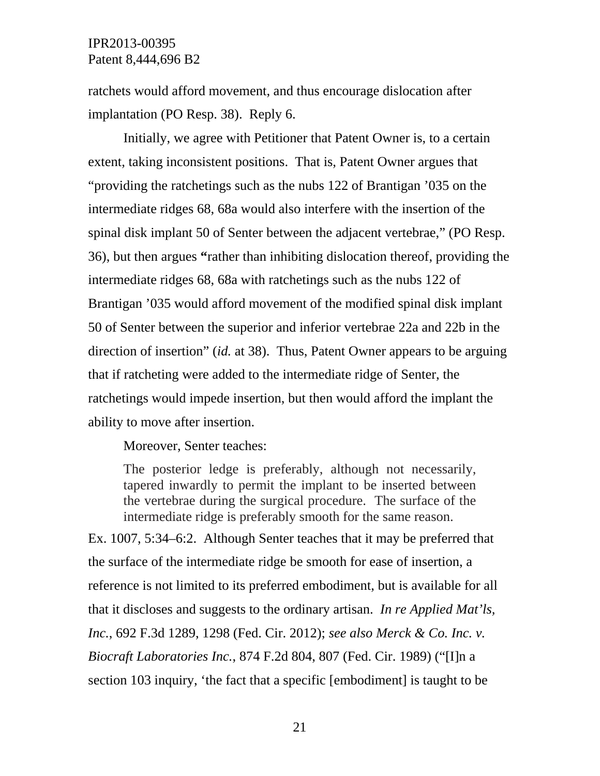ratchets would afford movement, and thus encourage dislocation after implantation (PO Resp. 38). Reply 6.

 Initially, we agree with Petitioner that Patent Owner is, to a certain extent, taking inconsistent positions. That is, Patent Owner argues that "providing the ratchetings such as the nubs 122 of Brantigan '035 on the intermediate ridges 68, 68a would also interfere with the insertion of the spinal disk implant 50 of Senter between the adjacent vertebrae," (PO Resp. 36), but then argues **"**rather than inhibiting dislocation thereof, providing the intermediate ridges 68, 68a with ratchetings such as the nubs 122 of Brantigan '035 would afford movement of the modified spinal disk implant 50 of Senter between the superior and inferior vertebrae 22a and 22b in the direction of insertion" (*id.* at 38). Thus, Patent Owner appears to be arguing that if ratcheting were added to the intermediate ridge of Senter, the ratchetings would impede insertion, but then would afford the implant the ability to move after insertion.

Moreover, Senter teaches:

The posterior ledge is preferably, although not necessarily, tapered inwardly to permit the implant to be inserted between the vertebrae during the surgical procedure. The surface of the intermediate ridge is preferably smooth for the same reason.

Ex. 1007, 5:34–6:2. Although Senter teaches that it may be preferred that the surface of the intermediate ridge be smooth for ease of insertion, a reference is not limited to its preferred embodiment, but is available for all that it discloses and suggests to the ordinary artisan. *In re Applied Mat'ls, Inc.*, 692 F.3d 1289, 1298 (Fed. Cir. 2012); *see also Merck & Co. Inc. v. Biocraft Laboratories Inc.*, 874 F.2d 804, 807 (Fed. Cir. 1989) ("[I]n a section 103 inquiry, 'the fact that a specific [embodiment] is taught to be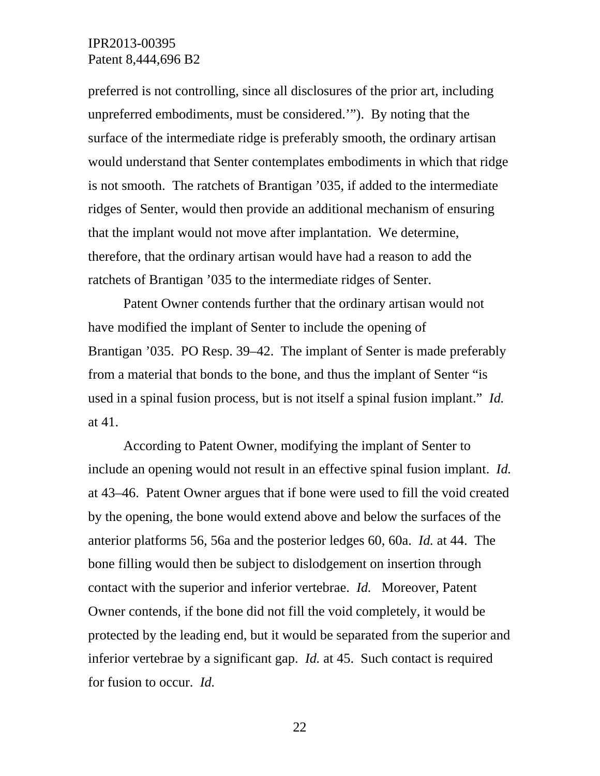preferred is not controlling, since all disclosures of the prior art, including unpreferred embodiments, must be considered.'"). By noting that the surface of the intermediate ridge is preferably smooth, the ordinary artisan would understand that Senter contemplates embodiments in which that ridge is not smooth. The ratchets of Brantigan '035, if added to the intermediate ridges of Senter, would then provide an additional mechanism of ensuring that the implant would not move after implantation. We determine, therefore, that the ordinary artisan would have had a reason to add the ratchets of Brantigan '035 to the intermediate ridges of Senter.

 Patent Owner contends further that the ordinary artisan would not have modified the implant of Senter to include the opening of Brantigan '035. PO Resp. 39–42. The implant of Senter is made preferably from a material that bonds to the bone, and thus the implant of Senter "is used in a spinal fusion process, but is not itself a spinal fusion implant." *Id.* at 41.

 According to Patent Owner, modifying the implant of Senter to include an opening would not result in an effective spinal fusion implant. *Id.* at 43–46. Patent Owner argues that if bone were used to fill the void created by the opening, the bone would extend above and below the surfaces of the anterior platforms 56, 56a and the posterior ledges 60, 60a. *Id.* at 44. The bone filling would then be subject to dislodgement on insertion through contact with the superior and inferior vertebrae. *Id.* Moreover, Patent Owner contends, if the bone did not fill the void completely, it would be protected by the leading end, but it would be separated from the superior and inferior vertebrae by a significant gap. *Id.* at 45. Such contact is required for fusion to occur. *Id.*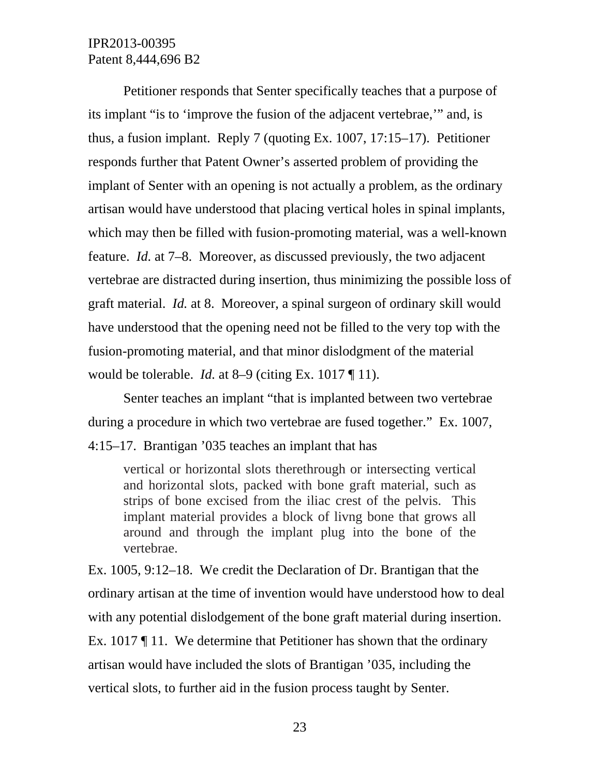Petitioner responds that Senter specifically teaches that a purpose of its implant "is to 'improve the fusion of the adjacent vertebrae,'" and, is thus, a fusion implant. Reply 7 (quoting Ex. 1007, 17:15–17). Petitioner responds further that Patent Owner's asserted problem of providing the implant of Senter with an opening is not actually a problem, as the ordinary artisan would have understood that placing vertical holes in spinal implants, which may then be filled with fusion-promoting material, was a well-known feature. *Id.* at 7–8. Moreover, as discussed previously, the two adjacent vertebrae are distracted during insertion, thus minimizing the possible loss of graft material. *Id.* at 8. Moreover, a spinal surgeon of ordinary skill would have understood that the opening need not be filled to the very top with the fusion-promoting material, and that minor dislodgment of the material would be tolerable. *Id.* at 8–9 (citing Ex. 1017 ¶ 11).

 Senter teaches an implant "that is implanted between two vertebrae during a procedure in which two vertebrae are fused together." Ex. 1007, 4:15–17. Brantigan '035 teaches an implant that has

vertical or horizontal slots therethrough or intersecting vertical and horizontal slots, packed with bone graft material, such as strips of bone excised from the iliac crest of the pelvis. This implant material provides a block of livng bone that grows all around and through the implant plug into the bone of the vertebrae.

Ex. 1005, 9:12–18. We credit the Declaration of Dr. Brantigan that the ordinary artisan at the time of invention would have understood how to deal with any potential dislodgement of the bone graft material during insertion. Ex. 1017 ¶ 11. We determine that Petitioner has shown that the ordinary artisan would have included the slots of Brantigan '035, including the vertical slots, to further aid in the fusion process taught by Senter.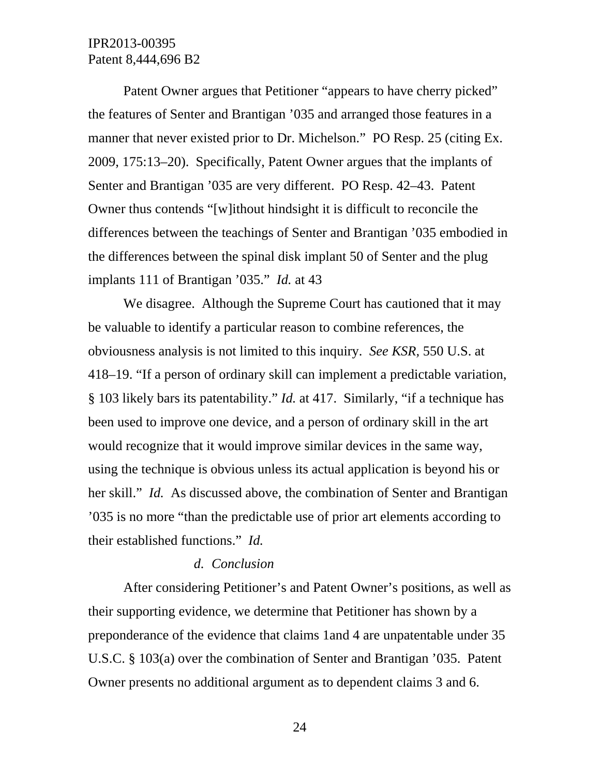Patent Owner argues that Petitioner "appears to have cherry picked" the features of Senter and Brantigan '035 and arranged those features in a manner that never existed prior to Dr. Michelson." PO Resp. 25 (citing Ex. 2009, 175:13–20). Specifically, Patent Owner argues that the implants of Senter and Brantigan '035 are very different. PO Resp. 42–43. Patent Owner thus contends "[w]ithout hindsight it is difficult to reconcile the differences between the teachings of Senter and Brantigan '035 embodied in the differences between the spinal disk implant 50 of Senter and the plug implants 111 of Brantigan '035." *Id.* at 43

We disagree. Although the Supreme Court has cautioned that it may be valuable to identify a particular reason to combine references, the obviousness analysis is not limited to this inquiry. *See KSR,* 550 U.S. at 418–19. "If a person of ordinary skill can implement a predictable variation, § 103 likely bars its patentability." *Id.* at 417. Similarly, "if a technique has been used to improve one device, and a person of ordinary skill in the art would recognize that it would improve similar devices in the same way, using the technique is obvious unless its actual application is beyond his or her skill." *Id.* As discussed above, the combination of Senter and Brantigan '035 is no more "than the predictable use of prior art elements according to their established functions." *Id.*

#### *d. Conclusion*

After considering Petitioner's and Patent Owner's positions, as well as their supporting evidence, we determine that Petitioner has shown by a preponderance of the evidence that claims 1and 4 are unpatentable under 35 U.S.C. § 103(a) over the combination of Senter and Brantigan '035. Patent Owner presents no additional argument as to dependent claims 3 and 6.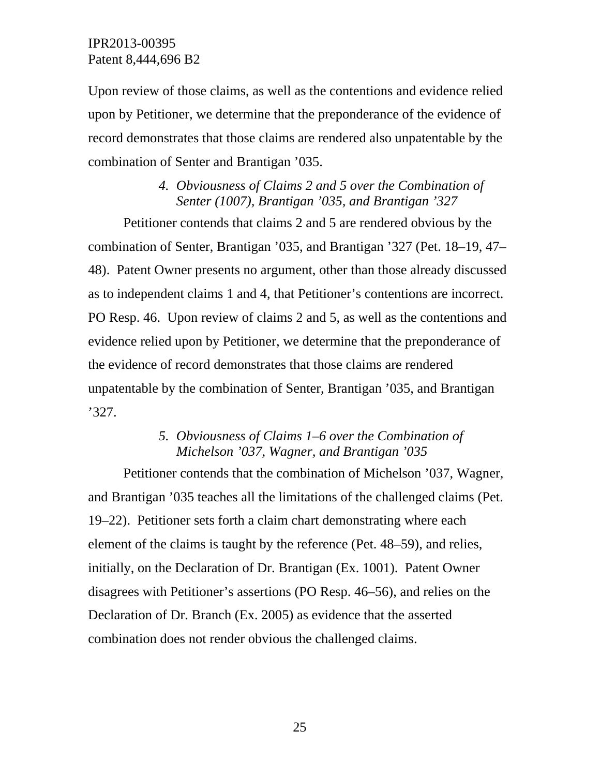Upon review of those claims, as well as the contentions and evidence relied upon by Petitioner, we determine that the preponderance of the evidence of record demonstrates that those claims are rendered also unpatentable by the combination of Senter and Brantigan '035.

# *4. Obviousness of Claims 2 and 5 over the Combination of Senter (1007), Brantigan '035, and Brantigan '327*

Petitioner contends that claims 2 and 5 are rendered obvious by the combination of Senter, Brantigan '035, and Brantigan '327 (Pet. 18–19, 47– 48). Patent Owner presents no argument, other than those already discussed as to independent claims 1 and 4, that Petitioner's contentions are incorrect. PO Resp. 46. Upon review of claims 2 and 5, as well as the contentions and evidence relied upon by Petitioner, we determine that the preponderance of the evidence of record demonstrates that those claims are rendered unpatentable by the combination of Senter, Brantigan '035, and Brantigan '327.

# *5. Obviousness of Claims 1–6 over the Combination of Michelson '037, Wagner, and Brantigan '035*

Petitioner contends that the combination of Michelson '037, Wagner, and Brantigan '035 teaches all the limitations of the challenged claims (Pet. 19–22). Petitioner sets forth a claim chart demonstrating where each element of the claims is taught by the reference (Pet. 48–59), and relies, initially, on the Declaration of Dr. Brantigan (Ex. 1001). Patent Owner disagrees with Petitioner's assertions (PO Resp. 46–56), and relies on the Declaration of Dr. Branch (Ex. 2005) as evidence that the asserted combination does not render obvious the challenged claims.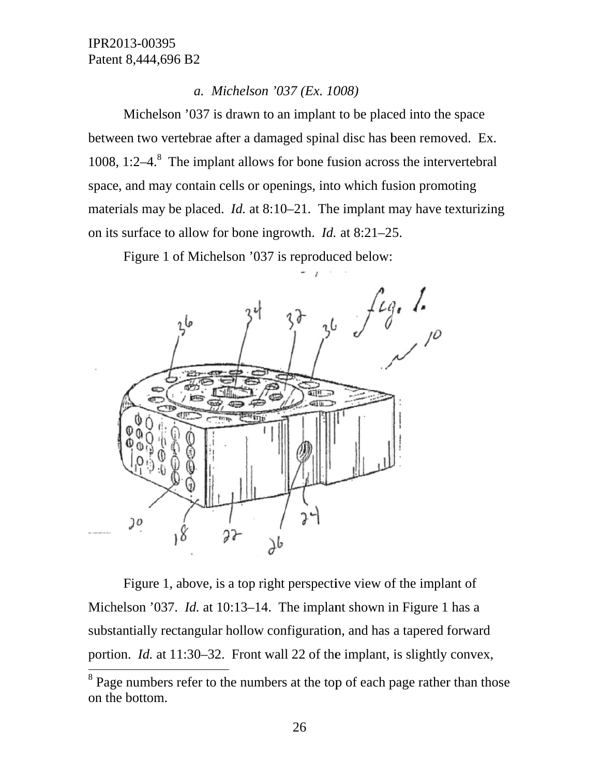#### *a. Mi ichelson '0 037 (Ex. 10 008)*

between two vertebrae after a damaged spinal disc has been removed. Ex. 1008, 1:2 $-4$ <sup>8</sup>. The implant allows for bone fusion across the intervertebral space, and may contain cells or openings, into which fusion promoting materials may be placed. *Id.* at 8:10–21. The implant may have texturizing on its surface to allow for bone ingrowth. *Id.* at 8:21–25. Michelson '037 is drawn to an implant to be placed into the space

Figure 1 of Michelson '037 is reproduced below:



Michelson '037. *Id.* at 10:13–14. The implant shown in Figure 1 has a substantially rectangular hollow configuration, and has a tapered forward portion. *Id.* at 11:30–32. Front wall 22 of the implant, is slightly convex, Figure 1, above, is a top right perspective view of the implant of

l

 $8$  Page numbers refer to the numbers at the top of each page rather than those on th he bottom.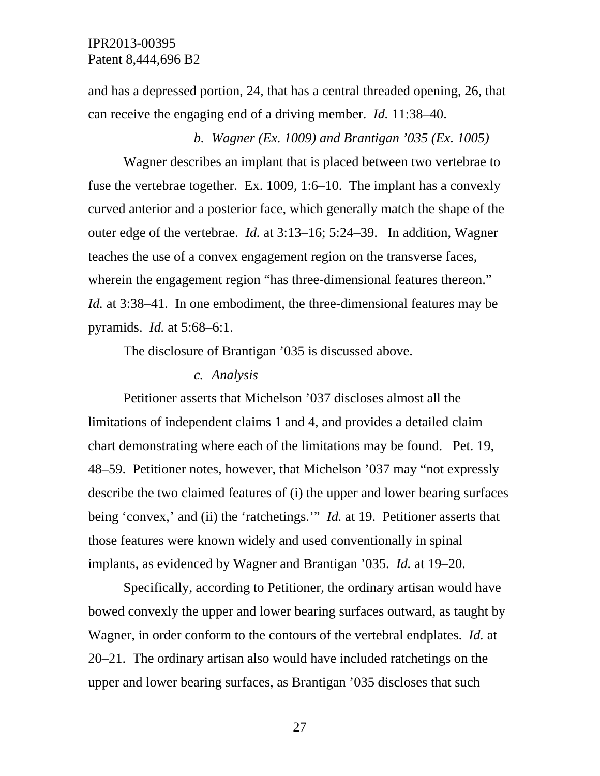and has a depressed portion, 24, that has a central threaded opening, 26, that can receive the engaging end of a driving member. *Id.* 11:38–40.

*b. Wagner (Ex. 1009) and Brantigan '035 (Ex. 1005)* 

Wagner describes an implant that is placed between two vertebrae to fuse the vertebrae together. Ex. 1009, 1:6–10. The implant has a convexly curved anterior and a posterior face, which generally match the shape of the outer edge of the vertebrae. *Id.* at 3:13–16; 5:24–39. In addition, Wagner teaches the use of a convex engagement region on the transverse faces, wherein the engagement region "has three-dimensional features thereon." *Id.* at 3:38–41. In one embodiment, the three-dimensional features may be pyramids. *Id.* at 5:68–6:1.

The disclosure of Brantigan '035 is discussed above.

#### *c. Analysis*

Petitioner asserts that Michelson '037 discloses almost all the limitations of independent claims 1 and 4, and provides a detailed claim chart demonstrating where each of the limitations may be found. Pet. 19, 48–59. Petitioner notes, however, that Michelson '037 may "not expressly describe the two claimed features of (i) the upper and lower bearing surfaces being 'convex,' and (ii) the 'ratchetings.'" *Id.* at 19. Petitioner asserts that those features were known widely and used conventionally in spinal implants, as evidenced by Wagner and Brantigan '035. *Id.* at 19–20.

 Specifically, according to Petitioner, the ordinary artisan would have bowed convexly the upper and lower bearing surfaces outward, as taught by Wagner, in order conform to the contours of the vertebral endplates. *Id.* at 20–21. The ordinary artisan also would have included ratchetings on the upper and lower bearing surfaces, as Brantigan '035 discloses that such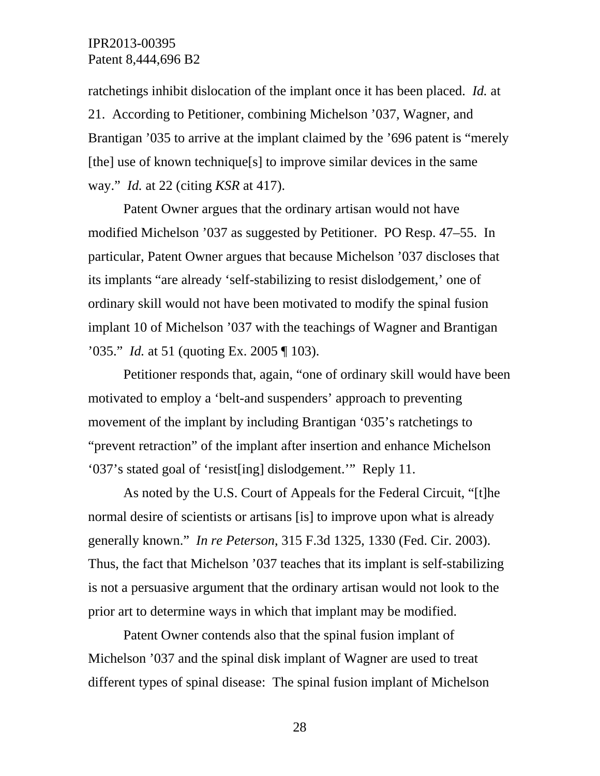ratchetings inhibit dislocation of the implant once it has been placed. *Id.* at 21. According to Petitioner, combining Michelson '037, Wagner, and Brantigan '035 to arrive at the implant claimed by the '696 patent is "merely [the] use of known technique[s] to improve similar devices in the same way." *Id.* at 22 (citing *KSR* at 417).

 Patent Owner argues that the ordinary artisan would not have modified Michelson '037 as suggested by Petitioner. PO Resp. 47–55. In particular, Patent Owner argues that because Michelson '037 discloses that its implants "are already 'self-stabilizing to resist dislodgement,' one of ordinary skill would not have been motivated to modify the spinal fusion implant 10 of Michelson '037 with the teachings of Wagner and Brantigan '035." *Id.* at 51 (quoting Ex. 2005 ¶ 103).

 Petitioner responds that, again, "one of ordinary skill would have been motivated to employ a 'belt-and suspenders' approach to preventing movement of the implant by including Brantigan '035's ratchetings to "prevent retraction" of the implant after insertion and enhance Michelson '037's stated goal of 'resist[ing] dislodgement.'" Reply 11.

 As noted by the U.S. Court of Appeals for the Federal Circuit, "[t]he normal desire of scientists or artisans [is] to improve upon what is already generally known." *In re Peterson*, 315 F.3d 1325, 1330 (Fed. Cir. 2003). Thus, the fact that Michelson '037 teaches that its implant is self-stabilizing is not a persuasive argument that the ordinary artisan would not look to the prior art to determine ways in which that implant may be modified.

 Patent Owner contends also that the spinal fusion implant of Michelson '037 and the spinal disk implant of Wagner are used to treat different types of spinal disease: The spinal fusion implant of Michelson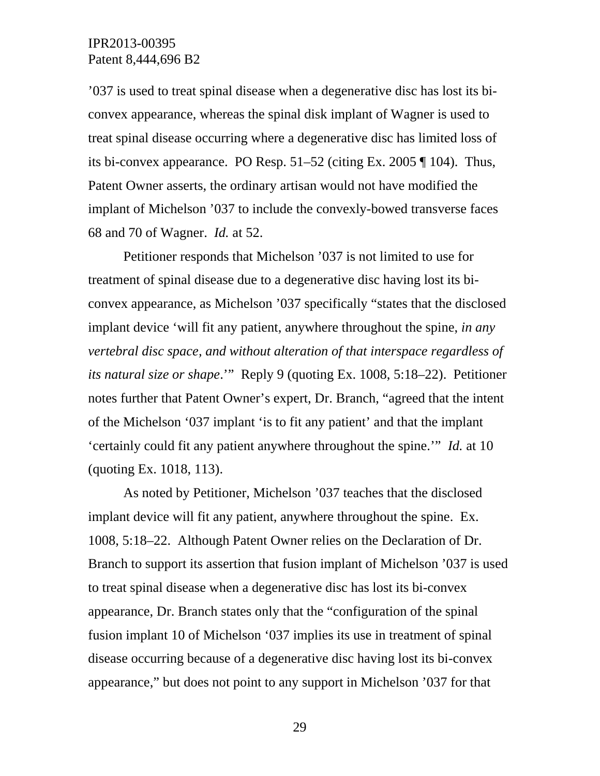'037 is used to treat spinal disease when a degenerative disc has lost its biconvex appearance, whereas the spinal disk implant of Wagner is used to treat spinal disease occurring where a degenerative disc has limited loss of its bi-convex appearance. PO Resp. 51–52 (citing Ex. 2005 ¶ 104). Thus, Patent Owner asserts, the ordinary artisan would not have modified the implant of Michelson '037 to include the convexly-bowed transverse faces 68 and 70 of Wagner. *Id.* at 52.

 Petitioner responds that Michelson '037 is not limited to use for treatment of spinal disease due to a degenerative disc having lost its biconvex appearance, as Michelson '037 specifically "states that the disclosed implant device 'will fit any patient, anywhere throughout the spine, *in any vertebral disc space, and without alteration of that interspace regardless of its natural size or shape*.'" Reply 9 (quoting Ex. 1008, 5:18–22). Petitioner notes further that Patent Owner's expert, Dr. Branch, "agreed that the intent of the Michelson '037 implant 'is to fit any patient' and that the implant 'certainly could fit any patient anywhere throughout the spine.'" *Id.* at 10 (quoting Ex. 1018, 113).

 As noted by Petitioner, Michelson '037 teaches that the disclosed implant device will fit any patient, anywhere throughout the spine. Ex. 1008, 5:18–22. Although Patent Owner relies on the Declaration of Dr. Branch to support its assertion that fusion implant of Michelson '037 is used to treat spinal disease when a degenerative disc has lost its bi-convex appearance, Dr. Branch states only that the "configuration of the spinal fusion implant 10 of Michelson '037 implies its use in treatment of spinal disease occurring because of a degenerative disc having lost its bi-convex appearance," but does not point to any support in Michelson '037 for that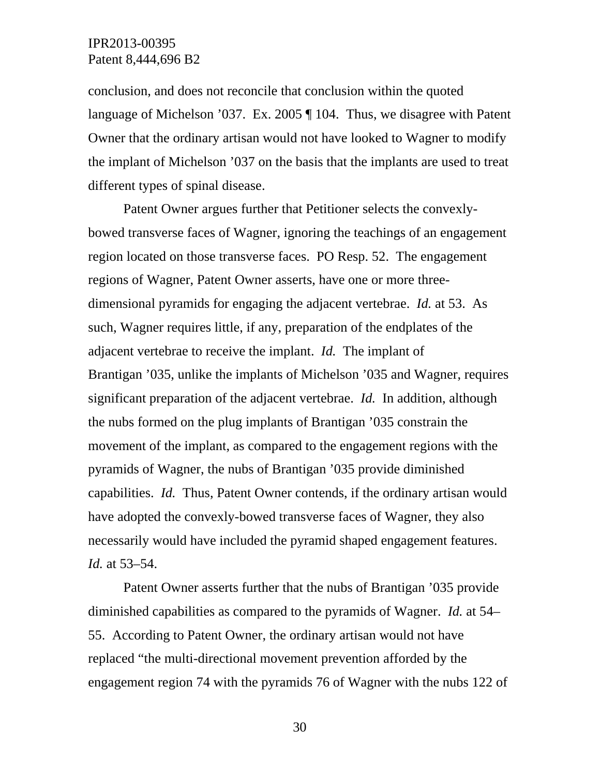conclusion, and does not reconcile that conclusion within the quoted language of Michelson '037. Ex. 2005 ¶ 104. Thus, we disagree with Patent Owner that the ordinary artisan would not have looked to Wagner to modify the implant of Michelson '037 on the basis that the implants are used to treat different types of spinal disease.

 Patent Owner argues further that Petitioner selects the convexlybowed transverse faces of Wagner, ignoring the teachings of an engagement region located on those transverse faces. PO Resp. 52. The engagement regions of Wagner, Patent Owner asserts, have one or more threedimensional pyramids for engaging the adjacent vertebrae. *Id.* at 53. As such, Wagner requires little, if any, preparation of the endplates of the adjacent vertebrae to receive the implant. *Id.* The implant of Brantigan '035, unlike the implants of Michelson '035 and Wagner, requires significant preparation of the adjacent vertebrae. *Id.* In addition, although the nubs formed on the plug implants of Brantigan '035 constrain the movement of the implant, as compared to the engagement regions with the pyramids of Wagner, the nubs of Brantigan '035 provide diminished capabilities. *Id.* Thus, Patent Owner contends, if the ordinary artisan would have adopted the convexly-bowed transverse faces of Wagner, they also necessarily would have included the pyramid shaped engagement features. *Id.* at 53–54.

 Patent Owner asserts further that the nubs of Brantigan '035 provide diminished capabilities as compared to the pyramids of Wagner. *Id.* at 54– 55. According to Patent Owner, the ordinary artisan would not have replaced "the multi-directional movement prevention afforded by the engagement region 74 with the pyramids 76 of Wagner with the nubs 122 of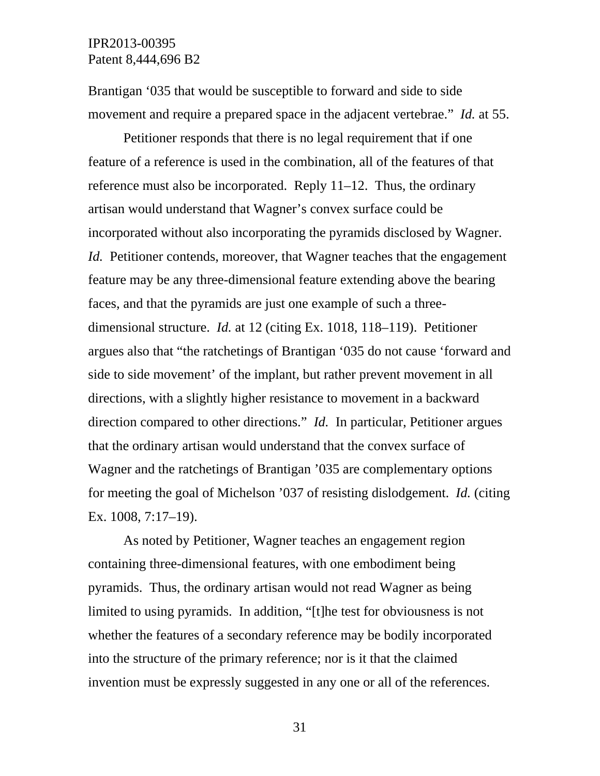Brantigan '035 that would be susceptible to forward and side to side movement and require a prepared space in the adjacent vertebrae." *Id.* at 55.

 Petitioner responds that there is no legal requirement that if one feature of a reference is used in the combination, all of the features of that reference must also be incorporated. Reply 11–12. Thus, the ordinary artisan would understand that Wagner's convex surface could be incorporated without also incorporating the pyramids disclosed by Wagner. *Id.* Petitioner contends, moreover, that Wagner teaches that the engagement feature may be any three-dimensional feature extending above the bearing faces, and that the pyramids are just one example of such a threedimensional structure. *Id.* at 12 (citing Ex. 1018, 118–119). Petitioner argues also that "the ratchetings of Brantigan '035 do not cause 'forward and side to side movement' of the implant, but rather prevent movement in all directions, with a slightly higher resistance to movement in a backward direction compared to other directions." *Id.* In particular, Petitioner argues that the ordinary artisan would understand that the convex surface of Wagner and the ratchetings of Brantigan '035 are complementary options for meeting the goal of Michelson '037 of resisting dislodgement. *Id.* (citing Ex. 1008, 7:17–19).

 As noted by Petitioner, Wagner teaches an engagement region containing three-dimensional features, with one embodiment being pyramids. Thus, the ordinary artisan would not read Wagner as being limited to using pyramids. In addition, "[t]he test for obviousness is not whether the features of a secondary reference may be bodily incorporated into the structure of the primary reference; nor is it that the claimed invention must be expressly suggested in any one or all of the references.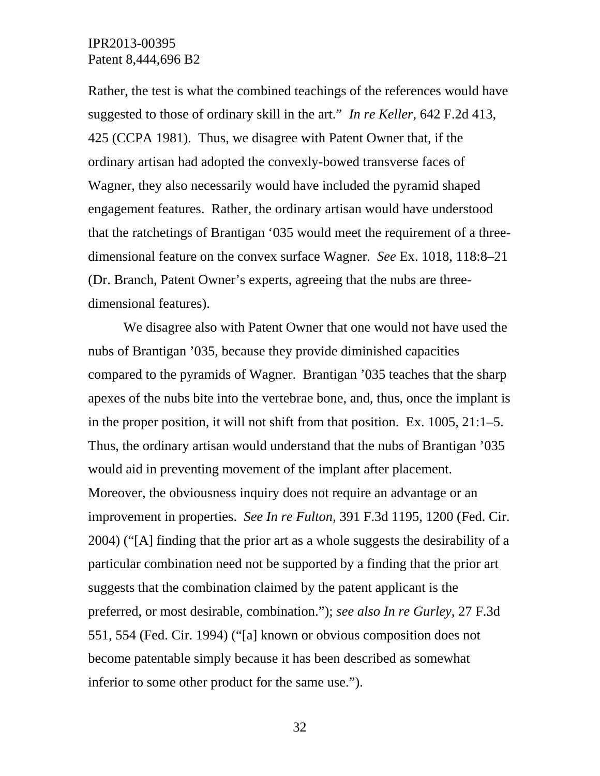Rather, the test is what the combined teachings of the references would have suggested to those of ordinary skill in the art." *In re Keller*, 642 F.2d 413, 425 (CCPA 1981). Thus, we disagree with Patent Owner that, if the ordinary artisan had adopted the convexly-bowed transverse faces of Wagner, they also necessarily would have included the pyramid shaped engagement features. Rather, the ordinary artisan would have understood that the ratchetings of Brantigan '035 would meet the requirement of a threedimensional feature on the convex surface Wagner. *See* Ex. 1018, 118:8–21 (Dr. Branch, Patent Owner's experts, agreeing that the nubs are threedimensional features).

 We disagree also with Patent Owner that one would not have used the nubs of Brantigan '035, because they provide diminished capacities compared to the pyramids of Wagner. Brantigan '035 teaches that the sharp apexes of the nubs bite into the vertebrae bone, and, thus, once the implant is in the proper position, it will not shift from that position. Ex. 1005, 21:1–5. Thus, the ordinary artisan would understand that the nubs of Brantigan '035 would aid in preventing movement of the implant after placement. Moreover, the obviousness inquiry does not require an advantage or an improvement in properties. *See In re Fulton*, 391 F.3d 1195, 1200 (Fed. Cir. 2004) ("[A] finding that the prior art as a whole suggests the desirability of a particular combination need not be supported by a finding that the prior art suggests that the combination claimed by the patent applicant is the preferred, or most desirable, combination."); *see also In re Gurley*, 27 F.3d 551, 554 (Fed. Cir. 1994) ("[a] known or obvious composition does not become patentable simply because it has been described as somewhat inferior to some other product for the same use.").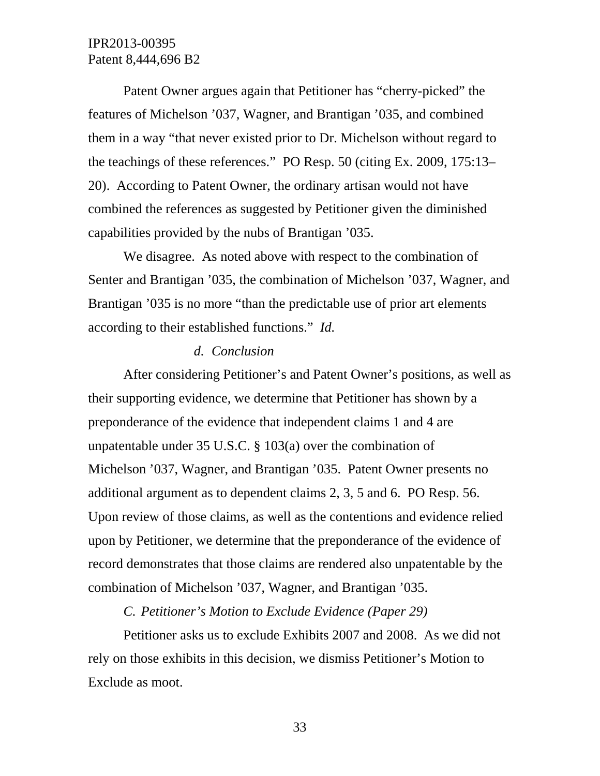Patent Owner argues again that Petitioner has "cherry-picked" the features of Michelson '037, Wagner, and Brantigan '035, and combined them in a way "that never existed prior to Dr. Michelson without regard to the teachings of these references." PO Resp. 50 (citing Ex. 2009, 175:13– 20). According to Patent Owner, the ordinary artisan would not have combined the references as suggested by Petitioner given the diminished capabilities provided by the nubs of Brantigan '035.

We disagree. As noted above with respect to the combination of Senter and Brantigan '035, the combination of Michelson '037, Wagner, and Brantigan '035 is no more "than the predictable use of prior art elements according to their established functions." *Id.*

#### *d. Conclusion*

After considering Petitioner's and Patent Owner's positions, as well as their supporting evidence, we determine that Petitioner has shown by a preponderance of the evidence that independent claims 1 and 4 are unpatentable under 35 U.S.C. § 103(a) over the combination of Michelson '037, Wagner, and Brantigan '035. Patent Owner presents no additional argument as to dependent claims 2, 3, 5 and 6. PO Resp. 56. Upon review of those claims, as well as the contentions and evidence relied upon by Petitioner, we determine that the preponderance of the evidence of record demonstrates that those claims are rendered also unpatentable by the combination of Michelson '037, Wagner, and Brantigan '035.

#### *C. Petitioner's Motion to Exclude Evidence (Paper 29)*

Petitioner asks us to exclude Exhibits 2007 and 2008. As we did not rely on those exhibits in this decision, we dismiss Petitioner's Motion to Exclude as moot.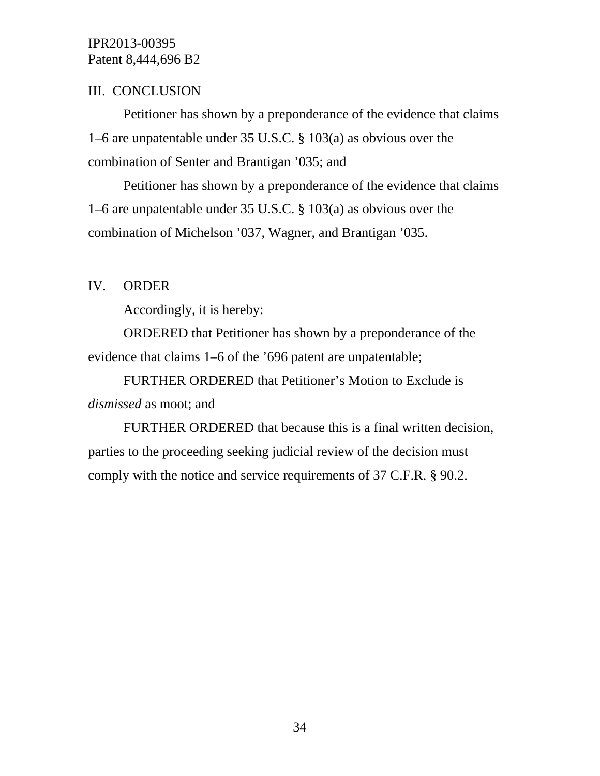# III. CONCLUSION

Petitioner has shown by a preponderance of the evidence that claims 1–6 are unpatentable under 35 U.S.C. § 103(a) as obvious over the combination of Senter and Brantigan '035; and

Petitioner has shown by a preponderance of the evidence that claims 1–6 are unpatentable under 35 U.S.C. § 103(a) as obvious over the combination of Michelson '037, Wagner, and Brantigan '035.

# IV. ORDER

Accordingly, it is hereby:

ORDERED that Petitioner has shown by a preponderance of the evidence that claims 1–6 of the '696 patent are unpatentable;

FURTHER ORDERED that Petitioner's Motion to Exclude is *dismissed* as moot; and

FURTHER ORDERED that because this is a final written decision, parties to the proceeding seeking judicial review of the decision must comply with the notice and service requirements of 37 C.F.R. § 90.2.